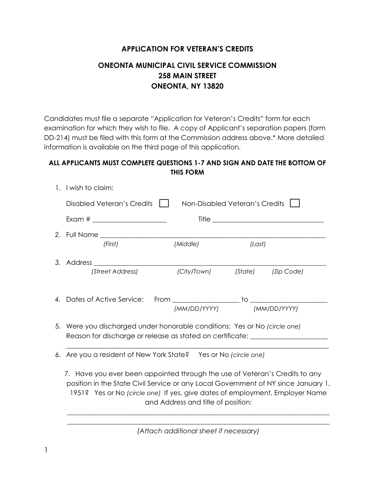### **APPLICATION FOR VETERAN'S CREDITS**

## **ONEONTA MUNICIPAL CIVIL SERVICE COMMISSION 258 MAIN STREET ONEONTA, NY 13820**

Candidates must file a separate "Application for Veteran's Credits" form for each examination for which they wish to file. A copy of Applicant's separation papers (form DD-214) must be filed with this form at the Commission address above.\* More detailed information is available on the third page of this application.

### **ALL APPLICANTS MUST COMPLETE QUESTIONS 1-7 AND SIGN AND DATE THE BOTTOM OF THIS FORM**

|  |                                                                                                                                                                                                                                                                                                                                                            | Disabled Veteran's Credits |  |                                | Non-Disabled Veteran's Credits |              |
|--|------------------------------------------------------------------------------------------------------------------------------------------------------------------------------------------------------------------------------------------------------------------------------------------------------------------------------------------------------------|----------------------------|--|--------------------------------|--------------------------------|--------------|
|  |                                                                                                                                                                                                                                                                                                                                                            |                            |  |                                |                                |              |
|  |                                                                                                                                                                                                                                                                                                                                                            |                            |  |                                |                                |              |
|  |                                                                                                                                                                                                                                                                                                                                                            | (First)                    |  | (Middle)                       | (Last)                         |              |
|  |                                                                                                                                                                                                                                                                                                                                                            |                            |  |                                |                                |              |
|  |                                                                                                                                                                                                                                                                                                                                                            | (Street Address)           |  | (City/Town) (State) (Zip Code) |                                |              |
|  |                                                                                                                                                                                                                                                                                                                                                            |                            |  |                                |                                |              |
|  |                                                                                                                                                                                                                                                                                                                                                            |                            |  | (MM/DD/YYYY)                   |                                | (MM/DD/YYYY) |
|  | 5. Were you discharged under honorable conditions: Yes or No (circle one)<br>Reason for discharge or release as stated on certificate: ______________________                                                                                                                                                                                              |                            |  |                                |                                |              |
|  | 6. Are you a resident of New York State? Yes or No (circle one)<br>7. Have you ever been appointed through the use of Veteran's Credits to any<br>position in the State Civil Service or any Local Government of NY since January 1,<br>1951? Yes or No (circle one) If yes, give dates of employment, Employer Name<br>and Address and title of position: |                            |  |                                |                                |              |
|  |                                                                                                                                                                                                                                                                                                                                                            |                            |  |                                |                                |              |

\_\_\_\_\_\_\_\_\_\_\_\_\_\_\_\_\_\_\_\_\_\_\_\_\_\_\_\_\_\_\_\_\_\_\_\_\_\_\_\_\_\_\_\_\_\_\_\_\_\_\_\_\_\_\_\_\_\_\_\_\_\_\_\_\_\_\_\_\_\_\_\_\_\_\_\_\_\_ *(Attach additional sheet if necessary)*

1. I wish to claim: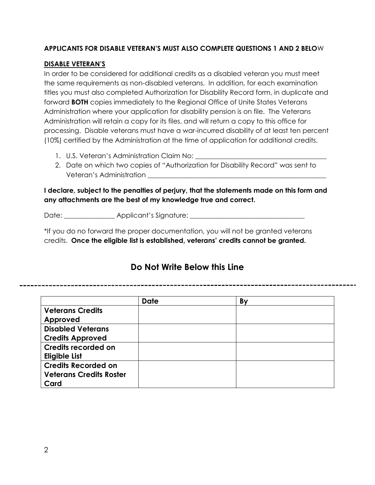#### **APPLICANTS FOR DISABLE VETERAN'S MUST ALSO COMPLETE QUESTIONS 1 AND 2 BELO**W

#### **DISABLE VETERAN'S**

In order to be considered for additional credits as a disabled veteran you must meet the same requirements as non-disabled veterans. In addition, for each examination titles you must also completed Authorization for Disability Record form, in duplicate and forward **BOTH** copies immediately to the Regional Office of Unite States Veterans Administration where your application for disability pension is on file. The Veterans Administration will retain a copy for its files, and will return a copy to this office for processing. Disable veterans must have a war-incurred disability of at least ten percent (10%) certified by the Administration at the time of application for additional credits.

- 1. U.S. Veteran's Administration Claim No:
- 2. Date on which two copies of "Authorization for Disability Record" was sent to Veteran's Administration \_\_\_\_\_\_\_\_\_\_\_\_\_\_\_\_\_\_\_\_\_\_\_\_\_\_\_\_\_\_\_\_\_\_\_\_\_\_\_\_\_\_\_\_\_\_\_\_\_\_\_\_\_

**I declare, subject to the penalties of perjury, that the statements made on this form and any attachments are the best of my knowledge true and correct.**

Date: \_\_\_\_\_\_\_\_\_\_\_\_\_\_\_ Applicant's Signature: \_\_\_\_\_\_\_\_\_\_\_\_\_\_\_\_\_\_\_\_\_\_\_\_\_\_\_\_\_\_\_\_\_\_\_

\*If you do no forward the proper documentation, you will not be granted veterans credits. **Once the eligible list is established, veterans' credits cannot be granted.**

# **Do Not Write Below this Line**

|                                | <b>Date</b> | By |
|--------------------------------|-------------|----|
| <b>Veterans Credits</b>        |             |    |
| Approved                       |             |    |
| <b>Disabled Veterans</b>       |             |    |
| <b>Credits Approved</b>        |             |    |
| Credits recorded on            |             |    |
| <b>Eligible List</b>           |             |    |
| <b>Credits Recorded on</b>     |             |    |
| <b>Veterans Credits Roster</b> |             |    |
| Card                           |             |    |